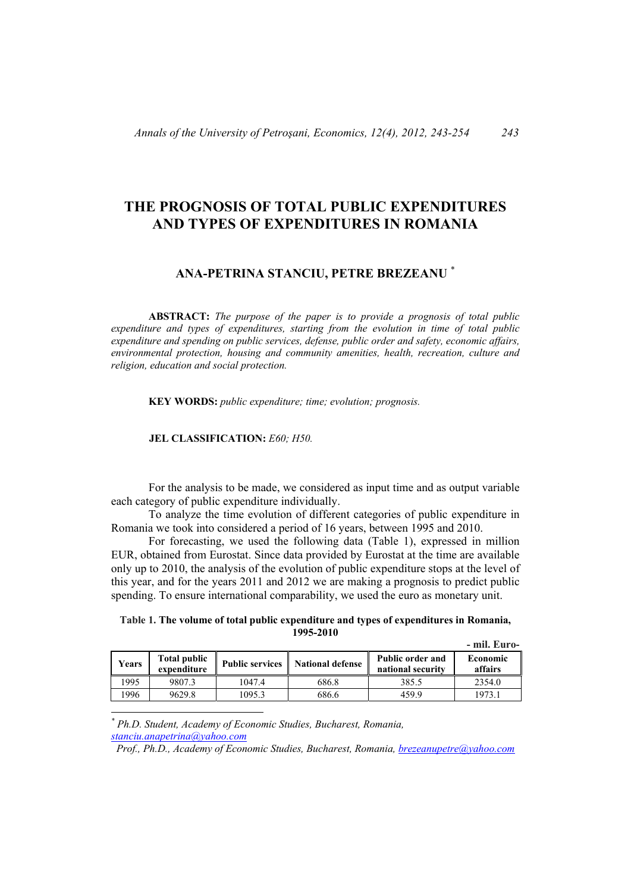# **THE PROGNOSIS OF TOTAL PUBLIC EXPENDITURES AND TYPES OF EXPENDITURES IN ROMANIA**

## **ANA-PETRINA STANCIU, PETRE BREZEANU** \*

**ABSTRACT:** *The purpose of the paper is to provide a prognosis of total public expenditure and types of expenditures, starting from the evolution in time of total public expenditure and spending on public services, defense, public order and safety, economic affairs, environmental protection, housing and community amenities, health, recreation, culture and religion, education and social protection.* 

**KEY WORDS:** *public expenditure; time; evolution; prognosis.*

#### **JEL CLASSIFICATION:** *E60; H50.*

For the analysis to be made, we considered as input time and as output variable each category of public expenditure individually.

To analyze the time evolution of different categories of public expenditure in Romania we took into considered a period of 16 years, between 1995 and 2010.

For forecasting, we used the following data (Table 1), expressed in million EUR, obtained from Eurostat. Since data provided by Eurostat at the time are available only up to 2010, the analysis of the evolution of public expenditure stops at the level of this year, and for the years 2011 and 2012 we are making a prognosis to predict public spending. To ensure international comparability, we used the euro as monetary unit.

**Table 1. The volume of total public expenditure and types of expenditures in Romania, 1995-2010 - mil. Euro-**

|       |                                    |                        |                         |                                       | шн. ши у            |
|-------|------------------------------------|------------------------|-------------------------|---------------------------------------|---------------------|
| Years | <b>Total public</b><br>expenditure | <b>Public services</b> | <b>National defense</b> | Public order and<br>national security | Economic<br>affairs |
| 1995  | 9807.3                             | 1047.4                 | 686.8                   | 385.5                                 | 2354.0              |
| 1996  | 9629.8                             | 1095.3                 | 686.6                   | 459.9                                 | 1973.1              |

*\* Ph.D. Student, Academy of Economic Studies, Bucharest, Romania, stanciu.anapetrina@yahoo.com*

 $\overline{a}$ 

*Prof., Ph.D., Academy of Economic Studies, Bucharest, Romania, brezeanupetre@yahoo.com*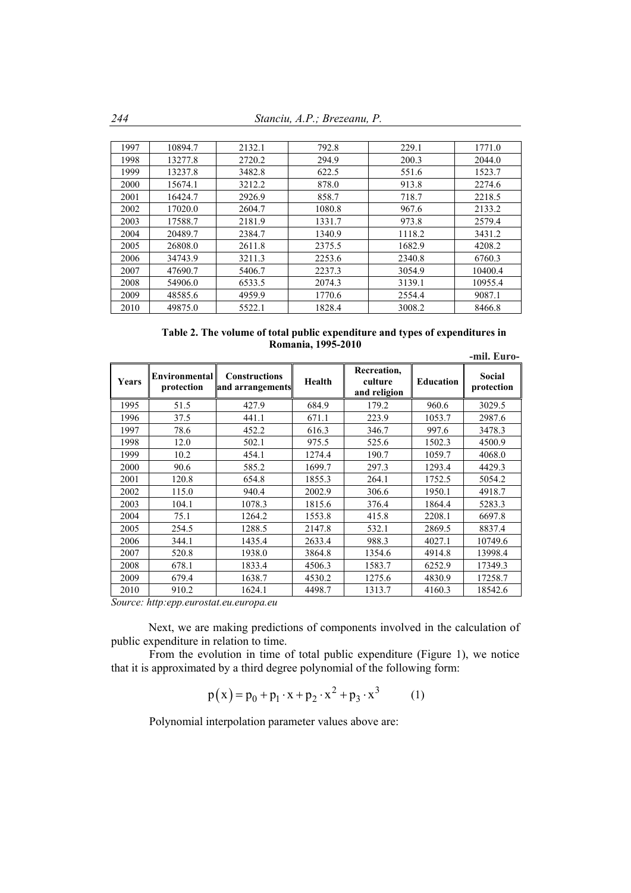*244 Stanciu, A.P.; Brezeanu, P.* 

| 1997 | 10894.7 | 2132.1 | 792.8  | 229.1  | 1771.0  |
|------|---------|--------|--------|--------|---------|
| 1998 | 13277.8 | 2720.2 | 294.9  | 200.3  | 2044.0  |
| 1999 | 13237.8 | 3482.8 | 622.5  | 551.6  | 1523.7  |
| 2000 | 15674.1 | 3212.2 | 878.0  | 913.8  | 2274.6  |
| 2001 | 16424.7 | 2926.9 | 858.7  | 718.7  | 2218.5  |
| 2002 | 17020.0 | 2604.7 | 1080.8 | 967.6  | 2133.2  |
| 2003 | 17588.7 | 2181.9 | 1331.7 | 973.8  | 2579.4  |
| 2004 | 20489.7 | 2384.7 | 1340.9 | 1118.2 | 3431.2  |
| 2005 | 26808.0 | 2611.8 | 2375.5 | 1682.9 | 4208.2  |
| 2006 | 34743.9 | 3211.3 | 2253.6 | 2340.8 | 6760.3  |
| 2007 | 47690.7 | 5406.7 | 2237.3 | 3054.9 | 10400.4 |
| 2008 | 54906.0 | 6533.5 | 2074.3 | 3139.1 | 10955.4 |
| 2009 | 48585.6 | 4959.9 | 1770.6 | 2554.4 | 9087.1  |
| 2010 | 49875.0 | 5522.1 | 1828.4 | 3008.2 | 8466.8  |

**Table 2. The volume of total public expenditure and types of expenditures in Romania, 1995-2010 -mil. Euro-**

|       |                             |                                          |               |                                        |                  | -шп. счго-           |
|-------|-----------------------------|------------------------------------------|---------------|----------------------------------------|------------------|----------------------|
| Years | Environmental<br>protection | <b>Constructions</b><br>and arrangements | <b>Health</b> | Recreation.<br>culture<br>and religion | <b>Education</b> | Social<br>protection |
| 1995  | 51.5                        | 427.9                                    | 684.9         | 179.2                                  | 960.6            | 3029.5               |
| 1996  | 37.5                        | 441.1                                    | 671.1         | 223.9                                  | 1053.7           | 2987.6               |
| 1997  | 78.6                        | 452.2                                    | 616.3         | 346.7                                  | 997.6            | 3478.3               |
| 1998  | 12.0                        | 502.1                                    | 975.5         | 525.6                                  | 1502.3           | 4500.9               |
| 1999  | 10.2                        | 454.1                                    | 1274.4        | 190.7                                  | 1059.7           | 4068.0               |
| 2000  | 90.6                        | 585.2                                    | 1699.7        | 297.3                                  | 1293.4           | 4429.3               |
| 2001  | 120.8                       | 654.8                                    | 1855.3        | 264.1                                  | 1752.5           | 5054.2               |
| 2002  | 115.0                       | 940.4                                    | 2002.9        | 306.6                                  | 1950.1           | 4918.7               |
| 2003  | 104.1                       | 1078.3                                   | 1815.6        | 376.4                                  | 1864.4           | 5283.3               |
| 2004  | 75.1                        | 1264.2                                   | 1553.8        | 415.8                                  | 2208.1           | 6697.8               |
| 2005  | 254.5                       | 1288.5                                   | 2147.8        | 532.1                                  | 2869.5           | 8837.4               |
| 2006  | 344.1                       | 1435.4                                   | 2633.4        | 988.3                                  | 4027.1           | 10749.6              |
| 2007  | 520.8                       | 1938.0                                   | 3864.8        | 1354.6                                 | 4914.8           | 13998.4              |
| 2008  | 678.1                       | 1833.4                                   | 4506.3        | 1583.7                                 | 6252.9           | 17349.3              |
| 2009  | 679.4                       | 1638.7                                   | 4530.2        | 1275.6                                 | 4830.9           | 17258.7              |
| 2010  | 910.2                       | 1624.1                                   | 4498.7        | 1313.7                                 | 4160.3           | 18542.6              |

*Source: http:epp.eurostat.eu.europa.eu* 

Next, we are making predictions of components involved in the calculation of public expenditure in relation to time.

 From the evolution in time of total public expenditure (Figure 1), we notice that it is approximated by a third degree polynomial of the following form:

$$
p(x) = p_0 + p_1 \cdot x + p_2 \cdot x^2 + p_3 \cdot x^3 \tag{1}
$$

Polynomial interpolation parameter values above are: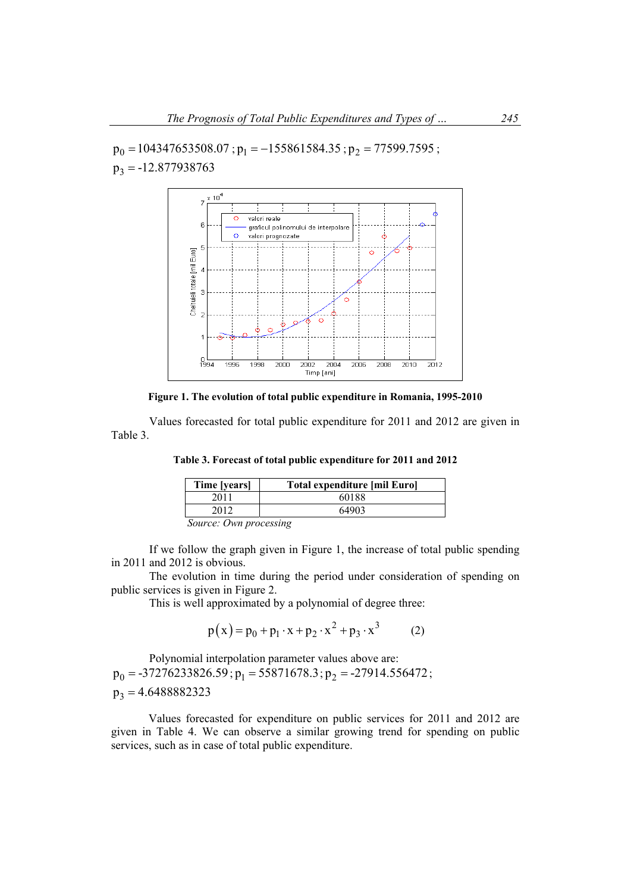$p_0 = 104347653508.07$ ;  $p_1 = -155861584.35$ ;  $p_2 = 77599.7595$ ;  $p_3 = -12.877938763$ 



**Figure 1. The evolution of total public expenditure in Romania, 1995-2010** 

 Values forecasted for total public expenditure for 2011 and 2012 are given in Table 3.

| Time [years]                                                    | <b>Total expenditure [mil Euro]</b> |  |
|-----------------------------------------------------------------|-------------------------------------|--|
| 2011                                                            | 60188                               |  |
| 2012<br>64903                                                   |                                     |  |
| $S_{\alpha\mu\nu\rho\alpha}$ , $\Omega_{\mu\nu\alpha}$ programs |                                     |  |

**Table 3. Forecast of total public expenditure for 2011 and 2012** 

 *Source: Own processing* 

If we follow the graph given in Figure 1, the increase of total public spending in 2011 and 2012 is obvious.

The evolution in time during the period under consideration of spending on public services is given in Figure 2.

This is well approximated by a polynomial of degree three:

$$
p(x) = p_0 + p_1 \cdot x + p_2 \cdot x^2 + p_3 \cdot x^3 \tag{2}
$$

 Polynomial interpolation parameter values above are:  $p_0 = -37276233826.59$ ;  $p_1 = 55871678.3$ ;  $p_2 = -27914.556472$ ;  $p_3 = 4.6488882323$ 

Values forecasted for expenditure on public services for 2011 and 2012 are given in Table 4. We can observe a similar growing trend for spending on public services, such as in case of total public expenditure.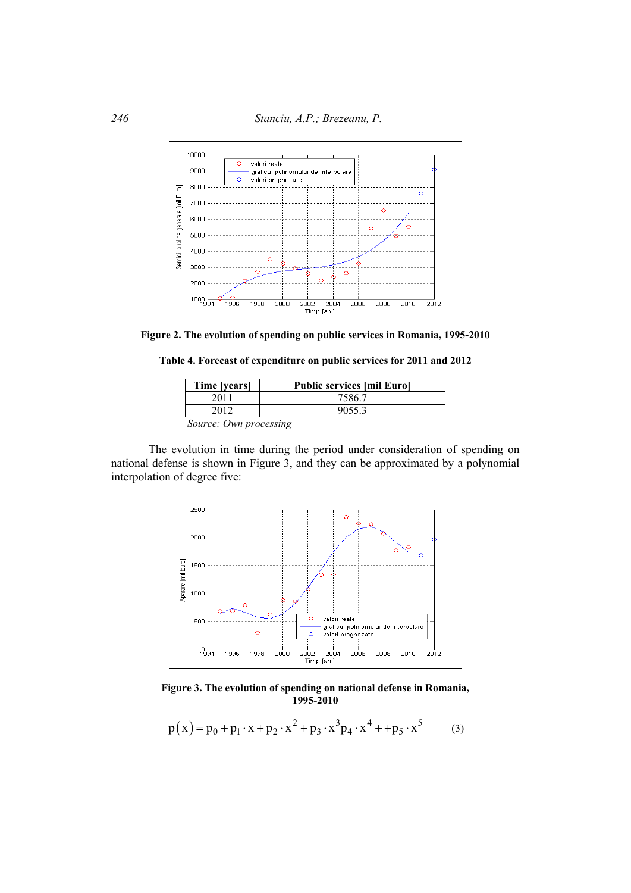

**Figure 2. The evolution of spending on public services in Romania, 1995-2010** 

| Table 4. Forecast of expenditure on public services for 2011 and 2012 |
|-----------------------------------------------------------------------|
|-----------------------------------------------------------------------|

| Time [years]           | <b>Public services [mil Euro]</b> |  |
|------------------------|-----------------------------------|--|
| 2011                   | 7586.7                            |  |
| 2012                   | 9055.3                            |  |
| Saurea: Our processing |                                   |  |

 *Source: Own processing* 

The evolution in time during the period under consideration of spending on national defense is shown in Figure 3, and they can be approximated by a polynomial interpolation of degree five:



**Figure 3. The evolution of spending on national defense in Romania, 1995-2010** 

$$
p(x) = p_0 + p_1 \cdot x + p_2 \cdot x^2 + p_3 \cdot x^3 p_4 \cdot x^4 + p_5 \cdot x^5
$$
 (3)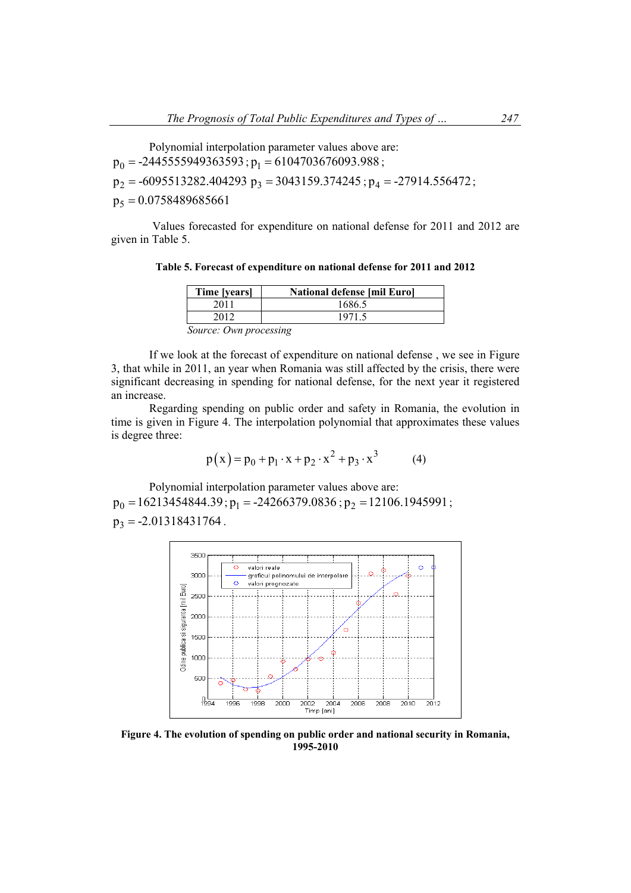Polynomial interpolation parameter values above are:  $p_0 = -2445555949363593$ ;  $p_1 = 6104703676093.988$ ;  $p_2 = -6095513282.404293 \ p_3 = 3043159.374245$ ;  $p_4 = -27914.556472$ ;  $p_5 = 0.0758489685661$ 

Values forecasted for expenditure on national defense for 2011 and 2012 are given in Table 5.

**Table 5. Forecast of expenditure on national defense for 2011 and 2012** 

| Time [years]           | <b>National defense [mil Euro]</b> |  |
|------------------------|------------------------------------|--|
| 2011                   | 1686.5                             |  |
| 2012                   | 1971.5                             |  |
| Source: Own processing |                                    |  |

If we look at the forecast of expenditure on national defense , we see in Figure 3, that while in 2011, an year when Romania was still affected by the crisis, there were significant decreasing in spending for national defense, for the next year it registered an increase.

Regarding spending on public order and safety in Romania, the evolution in time is given in Figure 4. The interpolation polynomial that approximates these values is degree three:

$$
p(x) = p_0 + p_1 \cdot x + p_2 \cdot x^2 + p_3 \cdot x^3 \tag{4}
$$

 Polynomial interpolation parameter values above are:  $p_0 = 16213454844.39$ ;  $p_1 = -24266379.0836$ ;  $p_2 = 12106.1945991$ ;  $p_3 = -2.01318431764$ .



**Figure 4. The evolution of spending on public order and national security in Romania, 1995-2010**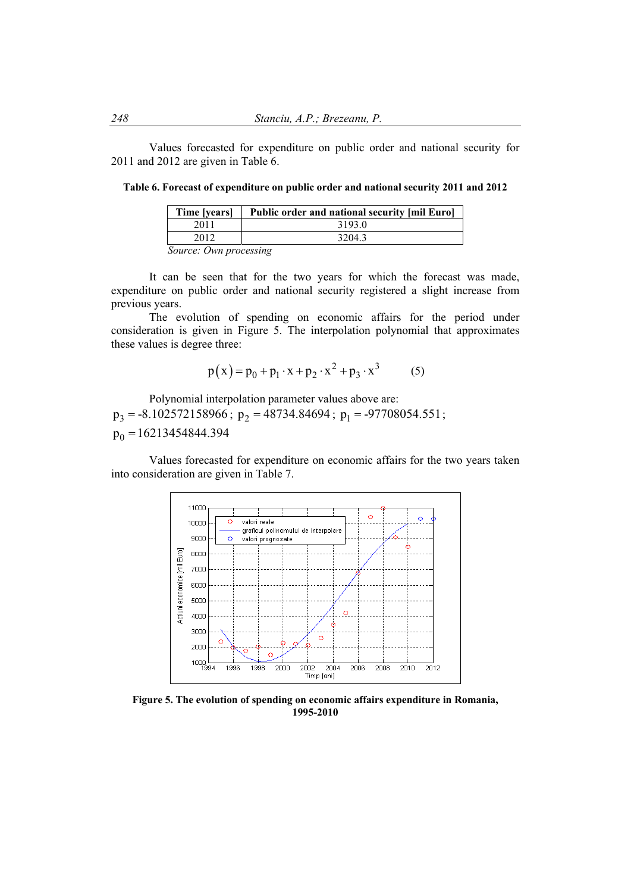Values forecasted for expenditure on public order and national security for 2011 and 2012 are given in Table 6.

**Table 6. Forecast of expenditure on public order and national security 2011 and 2012** 

| Time [years] | <b>Public order and national security [mil Euro]</b> |
|--------------|------------------------------------------------------|
| 201          | 3193.0                                               |
| 2012         | 3204.3                                               |
|              |                                                      |

 *Source: Own processing* 

It can be seen that for the two years for which the forecast was made, expenditure on public order and national security registered a slight increase from previous years.

 The evolution of spending on economic affairs for the period under consideration is given in Figure 5. The interpolation polynomial that approximates these values is degree three:

$$
p(x) = p_0 + p_1 \cdot x + p_2 \cdot x^2 + p_3 \cdot x^3 \tag{5}
$$

 Polynomial interpolation parameter values above are:  $p_3 = -8.102572158966$ ;  $p_2 = 48734.84694$ ;  $p_1 = -97708054.551$ ;  $p_0 = 16213454844.394$ 

 Values forecasted for expenditure on economic affairs for the two years taken into consideration are given in Table 7.



**Figure 5. The evolution of spending on economic affairs expenditure in Romania, 1995-2010**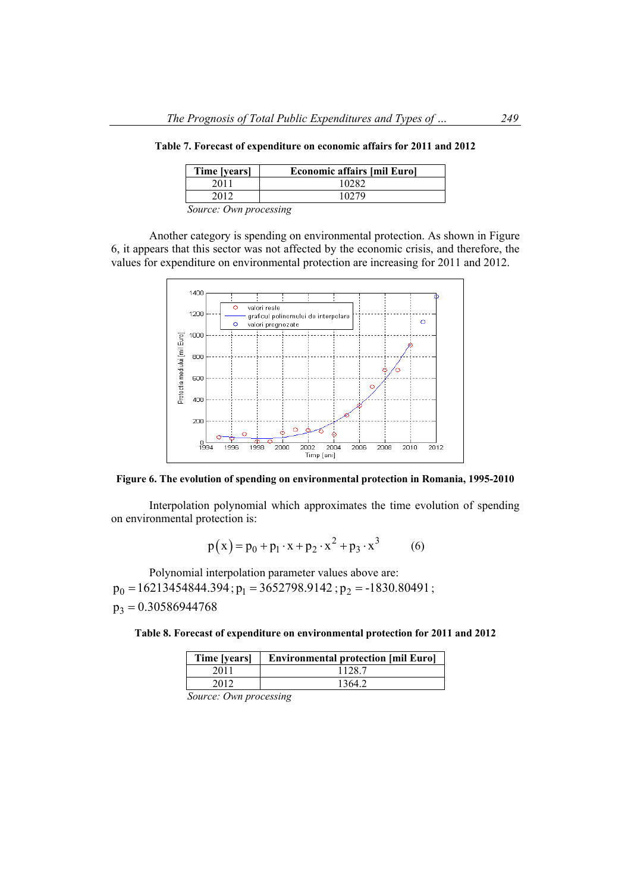|                                                          | Table 7. Forecast of expenditure on economic affairs for 2011 and 2012 |  |
|----------------------------------------------------------|------------------------------------------------------------------------|--|
| $\mathbf{m}_{\text{max}}$ . For a small set $\mathbf{L}$ |                                                                        |  |

| <b>THE PEARS</b>       | <b>ECONOMIC AHAIFS [MILE UPO]</b> |  |
|------------------------|-----------------------------------|--|
| 2011                   | 10282                             |  |
| 2012                   | 10279                             |  |
| Source: Own processing |                                   |  |

Another category is spending on environmental protection. As shown in Figure 6, it appears that this sector was not affected by the economic crisis, and therefore, the values for expenditure on environmental protection are increasing for 2011 and 2012.



#### **Figure 6. The evolution of spending on environmental protection in Romania, 1995-2010**

Interpolation polynomial which approximates the time evolution of spending on environmental protection is:

$$
p(x) = p_0 + p_1 \cdot x + p_2 \cdot x^2 + p_3 \cdot x^3 \tag{6}
$$

 Polynomial interpolation parameter values above are:  $p_0 = 16213454844.394$ ;  $p_1 = 3652798.9142$ ;  $p_2 = -1830.80491$ ;  $p_3 = 0.30586944768$ 

**Table 8. Forecast of expenditure on environmental protection for 2011 and 2012** 

| Time [years] | <b>Environmental protection [mil Euro]</b> |
|--------------|--------------------------------------------|
| 2011         | 1128.7                                     |
| 2012         | 13642                                      |

 *Source: Own processing*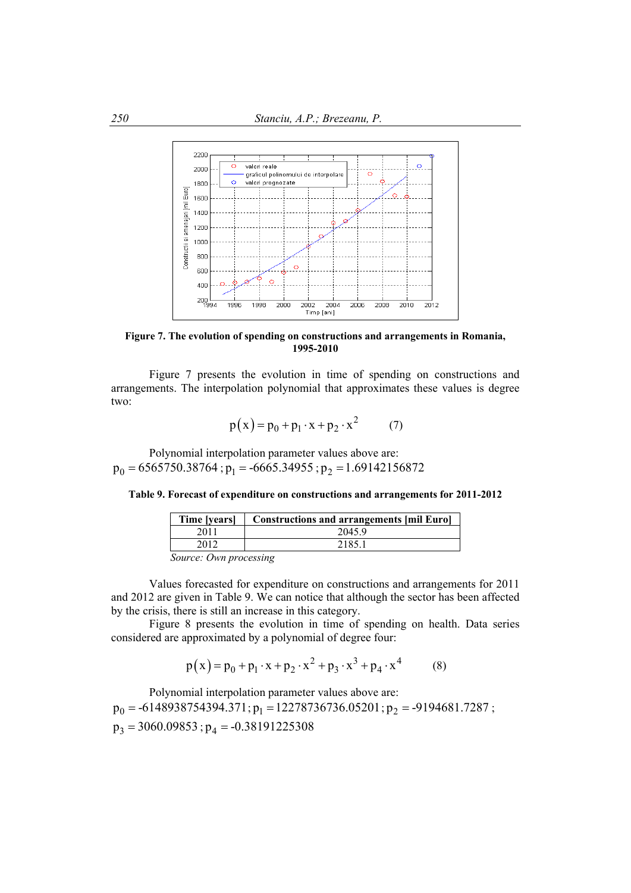

**Figure 7. The evolution of spending on constructions and arrangements in Romania, 1995-2010** 

Figure 7 presents the evolution in time of spending on constructions and arrangements. The interpolation polynomial that approximates these values is degree two:

$$
p(x) = p_0 + p_1 \cdot x + p_2 \cdot x^2 \tag{7}
$$

 Polynomial interpolation parameter values above are:  $p_0 = 6565750.38764$ ;  $p_1 = -6665.34955$ ;  $p_2 = 1.69142156872$ 

**Table 9. Forecast of expenditure on constructions and arrangements for 2011-2012** 

| Time [years]<br><b>Constructions and arrangements [mil Euro]</b> |        |  |
|------------------------------------------------------------------|--------|--|
| 2011                                                             | 2045.9 |  |
| 21851<br>2012                                                    |        |  |
| Source: Own processing                                           |        |  |

 *Source: Own processing* 

 Values forecasted for expenditure on constructions and arrangements for 2011 and 2012 are given in Table 9. We can notice that although the sector has been affected by the crisis, there is still an increase in this category.

Figure 8 presents the evolution in time of spending on health. Data series considered are approximated by a polynomial of degree four:

$$
p(x) = p_0 + p_1 \cdot x + p_2 \cdot x^2 + p_3 \cdot x^3 + p_4 \cdot x^4
$$
 (8)

 Polynomial interpolation parameter values above are:  $p_0 = -6148938754394.371$ ;  $p_1 = 12278736736.05201$ ;  $p_2 = -9194681.7287$ ;  $p_3 = 3060.09853$ ;  $p_4 = -0.38191225308$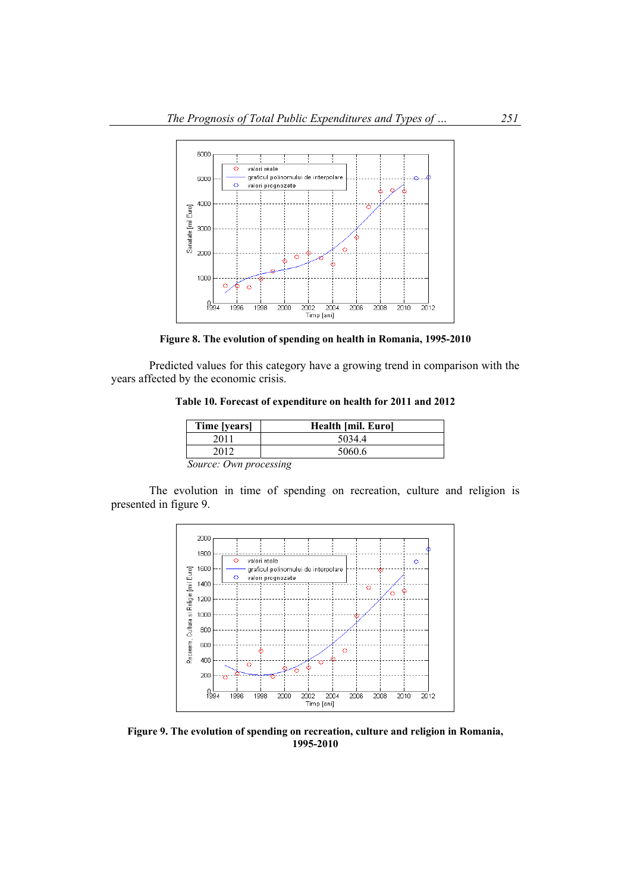

**Figure 8. The evolution of spending on health in Romania, 1995-2010** 

Predicted values for this category have a growing trend in comparison with the years affected by the economic crisis.

**Table 10. Forecast of expenditure on health for 2011 and 2012** 

| Time [years]                                                                            | Health [mil. Euro] |
|-----------------------------------------------------------------------------------------|--------------------|
| 2011                                                                                    | 5034.4             |
| 2012                                                                                    | 5060.6             |
| $C_{\alpha\mu\nu\rho\alpha\lambda}$ $\alpha_{\mu\nu\lambda}$ and $\alpha_{\alpha\beta}$ |                    |

The evolution in time of spending on recreation, culture and religion is

presented in figure 9. 2000 1800 ö valori reale  $\sim$ 1600 graficul polinomului de interpolare Recreere, Cultura si Religie [mil Euro] .<br>valori prognozate 1400 1200 1000 800 600  $\epsilon$ 400 ċ 200

 *Source: Own processing* 

 $^{0}_{1994}$ 

1996

1998

 $2000$ 

**Figure 9. The evolution of spending on recreation, culture and religion in Romania, 1995-2010** 

2002 2004<br>Timp [ani]

 $2006$ 

2008

 $2010$ 

 $\frac{1}{20}$ 12

 $2002$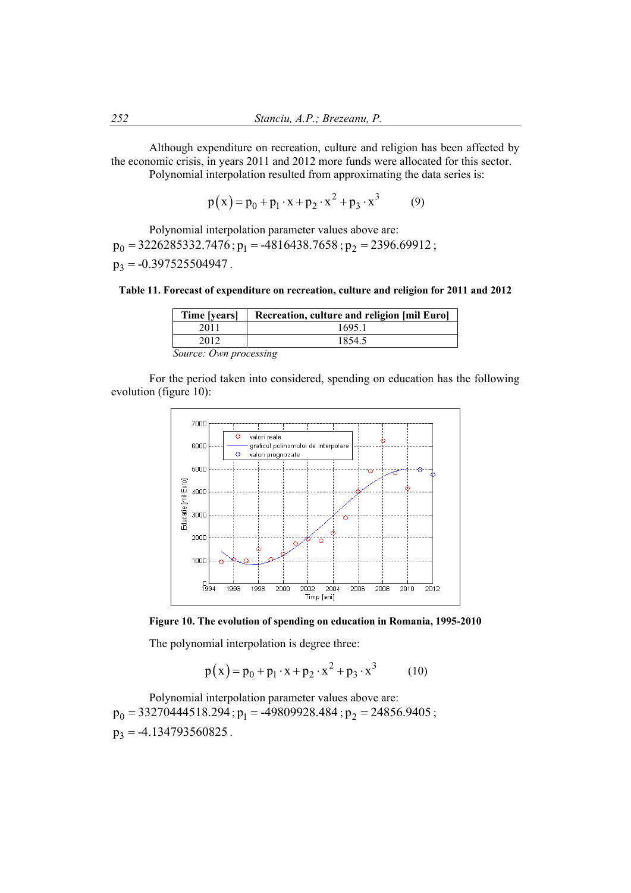Although expenditure on recreation, culture and religion has been affected by the economic crisis, in years 2011 and 2012 more funds were allocated for this sector. Polynomial interpolation resulted from approximating the data series is:

$$
p(x) = p_0 + p_1 \cdot x + p_2 \cdot x^2 + p_3 \cdot x^3 \tag{9}
$$

 Polynomial interpolation parameter values above are:  $p_0 = 3226285332.7476$ ;  $p_1 = -4816438.7658$ ;  $p_2 = 2396.69912$ ;  $p_3 = -0.397525504947$ .

**Table 11. Forecast of expenditure on recreation, culture and religion for 2011 and 2012** 

| Time [years] | Recreation, culture and religion [mil Euro] |
|--------------|---------------------------------------------|
| 2011         | 1695.1                                      |
| 2012         | 1854.5                                      |
| $\sim$       |                                             |

 *Source: Own processing* 

For the period taken into considered, spending on education has the following evolution (figure 10):





The polynomial interpolation is degree three:

$$
p(x) = p_0 + p_1 \cdot x + p_2 \cdot x^2 + p_3 \cdot x^3 \tag{10}
$$

 Polynomial interpolation parameter values above are:  $p_0 = 33270444518.294$ ;  $p_1 = -49809928.484$ ;  $p_2 = 24856.9405$ ;  $p_3 = -4.134793560825$ .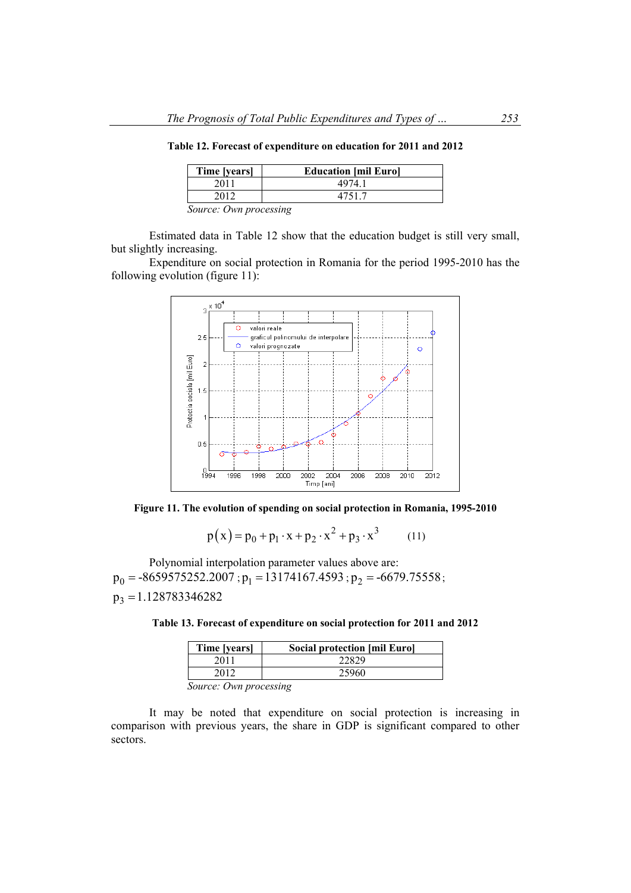| Time [years] | <b>Education [mil Euro]</b> |
|--------------|-----------------------------|
| 2011         | 49741                       |
| 2012         | 4751 7                      |

**Table 12. Forecast of expenditure on education for 2011 and 2012** 

Estimated data in Table 12 show that the education budget is still very small, but slightly increasing.

 Expenditure on social protection in Romania for the period 1995-2010 has the following evolution (figure 11):



**Figure 11. The evolution of spending on social protection in Romania, 1995-2010** 

$$
p(x) = p_0 + p_1 \cdot x + p_2 \cdot x^2 + p_3 \cdot x^3 \tag{11}
$$

 Polynomial interpolation parameter values above are:  $p_0 = -8659575252.2007$ ;  $p_1 = 13174167.4593$ ;  $p_2 = -6679.75558$ ;  $p_3 = 1.128783346282$ 

| Table 13. Forecast of expenditure on social protection for 2011 and 2012 |
|--------------------------------------------------------------------------|
|--------------------------------------------------------------------------|

| Time [years] | <b>Social protection [mil Euro]</b> |  |
|--------------|-------------------------------------|--|
| 201.         |                                     |  |
| 2012         | 25960                               |  |
|              |                                     |  |

 *Source: Own processing* 

It may be noted that expenditure on social protection is increasing in comparison with previous years, the share in GDP is significant compared to other sectors.